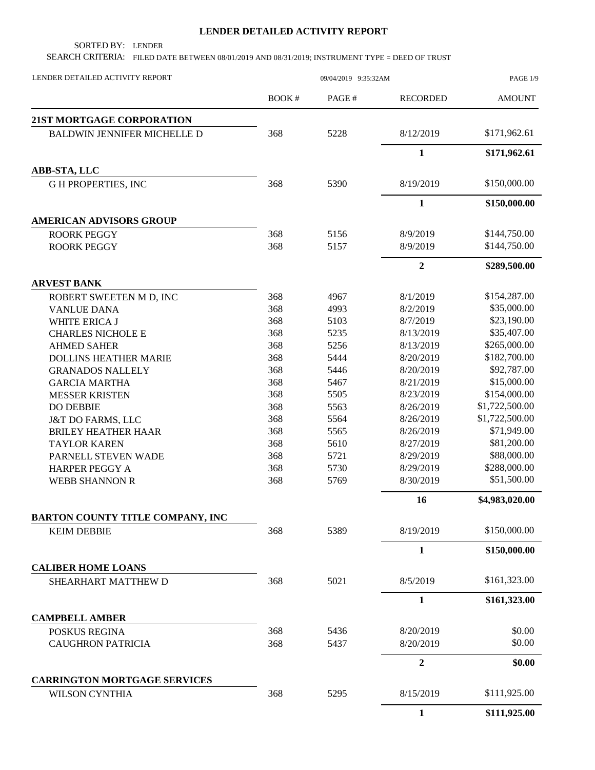## **LENDER DETAILED ACTIVITY REPORT**

SORTED BY: LENDER

SEARCH CRITERIA: FILED DATE BETWEEN 08/01/2019 AND 08/31/2019; INSTRUMENT TYPE = DEED OF TRUST

| LENDER DETAILED ACTIVITY REPORT         | 09/04/2019 9:35:32AM                                                                                                                                                                                                                                                                                                                                                        |       |                  | PAGE 1/9       |  |
|-----------------------------------------|-----------------------------------------------------------------------------------------------------------------------------------------------------------------------------------------------------------------------------------------------------------------------------------------------------------------------------------------------------------------------------|-------|------------------|----------------|--|
|                                         | <b>BOOK#</b>                                                                                                                                                                                                                                                                                                                                                                | PAGE# | <b>RECORDED</b>  | <b>AMOUNT</b>  |  |
| 21ST MORTGAGE CORPORATION               |                                                                                                                                                                                                                                                                                                                                                                             |       |                  |                |  |
| <b>BALDWIN JENNIFER MICHELLE D</b>      | 368                                                                                                                                                                                                                                                                                                                                                                         | 5228  | 8/12/2019        | \$171,962.61   |  |
|                                         |                                                                                                                                                                                                                                                                                                                                                                             |       | $\mathbf{1}$     | \$171,962.61   |  |
| ABB-STA, LLC                            |                                                                                                                                                                                                                                                                                                                                                                             |       |                  |                |  |
| <b>GH PROPERTIES, INC</b>               | 368                                                                                                                                                                                                                                                                                                                                                                         | 5390  | 8/19/2019        | \$150,000.00   |  |
|                                         |                                                                                                                                                                                                                                                                                                                                                                             |       | $\mathbf{1}$     | \$150,000.00   |  |
| <b>AMERICAN ADVISORS GROUP</b>          | 368<br>5156<br>368<br>5157<br>368<br>4967<br>368<br>4993<br>368<br>5103<br>368<br>5235<br>368<br>5256<br>368<br>5444<br>368<br>5446<br>368<br>5467<br>368<br>5505<br>368<br>5563<br>368<br>5564<br>368<br>5565<br>368<br>5610<br>368<br>5721<br>368<br>5730<br>368<br>5769<br>368<br>5389<br><b>KEIM DEBBIE</b><br>368<br>5021<br>5436<br>368<br>368<br>5437<br>368<br>5295 |       |                  |                |  |
| <b>ROORK PEGGY</b>                      |                                                                                                                                                                                                                                                                                                                                                                             |       | 8/9/2019         | \$144,750.00   |  |
| <b>ROORK PEGGY</b>                      |                                                                                                                                                                                                                                                                                                                                                                             |       | 8/9/2019         | \$144,750.00   |  |
|                                         |                                                                                                                                                                                                                                                                                                                                                                             |       | $\overline{2}$   | \$289,500.00   |  |
| <b>ARVEST BANK</b>                      |                                                                                                                                                                                                                                                                                                                                                                             |       |                  |                |  |
| ROBERT SWEETEN M D, INC                 |                                                                                                                                                                                                                                                                                                                                                                             |       | 8/1/2019         | \$154,287.00   |  |
| <b>VANLUE DANA</b>                      |                                                                                                                                                                                                                                                                                                                                                                             |       | 8/2/2019         | \$35,000.00    |  |
| <b>WHITE ERICA J</b>                    |                                                                                                                                                                                                                                                                                                                                                                             |       | 8/7/2019         | \$23,190.00    |  |
| <b>CHARLES NICHOLE E</b>                |                                                                                                                                                                                                                                                                                                                                                                             |       | 8/13/2019        | \$35,407.00    |  |
| <b>AHMED SAHER</b>                      |                                                                                                                                                                                                                                                                                                                                                                             |       | 8/13/2019        | \$265,000.00   |  |
| <b>DOLLINS HEATHER MARIE</b>            |                                                                                                                                                                                                                                                                                                                                                                             |       | 8/20/2019        | \$182,700.00   |  |
| <b>GRANADOS NALLELY</b>                 |                                                                                                                                                                                                                                                                                                                                                                             |       | 8/20/2019        | \$92,787.00    |  |
| <b>GARCIA MARTHA</b>                    |                                                                                                                                                                                                                                                                                                                                                                             |       | 8/21/2019        | \$15,000.00    |  |
| <b>MESSER KRISTEN</b>                   |                                                                                                                                                                                                                                                                                                                                                                             |       | 8/23/2019        | \$154,000.00   |  |
| <b>DO DEBBIE</b>                        |                                                                                                                                                                                                                                                                                                                                                                             |       | 8/26/2019        | \$1,722,500.00 |  |
| <b>J&amp;T DO FARMS, LLC</b>            |                                                                                                                                                                                                                                                                                                                                                                             |       | 8/26/2019        | \$1,722,500.00 |  |
| <b>BRILEY HEATHER HAAR</b>              |                                                                                                                                                                                                                                                                                                                                                                             |       | 8/26/2019        | \$71,949.00    |  |
| <b>TAYLOR KAREN</b>                     |                                                                                                                                                                                                                                                                                                                                                                             |       | 8/27/2019        | \$81,200.00    |  |
| PARNELL STEVEN WADE                     |                                                                                                                                                                                                                                                                                                                                                                             |       | 8/29/2019        | \$88,000.00    |  |
| <b>HARPER PEGGY A</b>                   |                                                                                                                                                                                                                                                                                                                                                                             |       | 8/29/2019        | \$288,000.00   |  |
| <b>WEBB SHANNON R</b>                   |                                                                                                                                                                                                                                                                                                                                                                             |       | 8/30/2019        | \$51,500.00    |  |
|                                         |                                                                                                                                                                                                                                                                                                                                                                             |       | 16               | \$4,983,020.00 |  |
| <b>BARTON COUNTY TITLE COMPANY, INC</b> |                                                                                                                                                                                                                                                                                                                                                                             |       |                  |                |  |
|                                         |                                                                                                                                                                                                                                                                                                                                                                             |       | 8/19/2019        | \$150,000.00   |  |
|                                         |                                                                                                                                                                                                                                                                                                                                                                             |       | $\mathbf{1}$     | \$150,000.00   |  |
| <b>CALIBER HOME LOANS</b>               |                                                                                                                                                                                                                                                                                                                                                                             |       |                  |                |  |
| SHEARHART MATTHEW D                     |                                                                                                                                                                                                                                                                                                                                                                             |       | 8/5/2019         | \$161,323.00   |  |
|                                         |                                                                                                                                                                                                                                                                                                                                                                             |       | $\mathbf{1}$     | \$161,323.00   |  |
| <b>CAMPBELL AMBER</b>                   |                                                                                                                                                                                                                                                                                                                                                                             |       |                  |                |  |
| POSKUS REGINA                           |                                                                                                                                                                                                                                                                                                                                                                             |       | 8/20/2019        | \$0.00         |  |
| <b>CAUGHRON PATRICIA</b>                |                                                                                                                                                                                                                                                                                                                                                                             |       | 8/20/2019        | \$0.00         |  |
|                                         |                                                                                                                                                                                                                                                                                                                                                                             |       | $\boldsymbol{2}$ | \$0.00         |  |
| <b>CARRINGTON MORTGAGE SERVICES</b>     |                                                                                                                                                                                                                                                                                                                                                                             |       |                  |                |  |
| <b>WILSON CYNTHIA</b>                   |                                                                                                                                                                                                                                                                                                                                                                             |       | 8/15/2019        | \$111,925.00   |  |
|                                         |                                                                                                                                                                                                                                                                                                                                                                             |       | $\mathbf{1}$     | \$111,925.00   |  |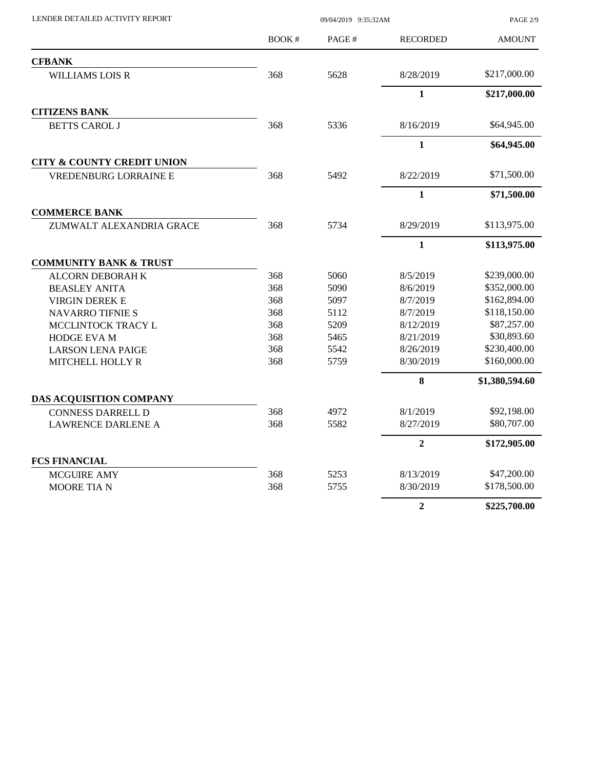BOOK # PAGE # PAGE 2/9 AMOUNT LENDER DETAILED ACTIVITY REPORT 09/04/2019 9:35:32AM RECORDED **CFBANK** WILLIAMS LOIS R 368 5628 8/28/2019 \$217,000.00 **1 \$217,000.00 CITIZENS BANK** BETTS CAROL J 368 5336 8/16/2019 \$64,945.00 **1 \$64,945.00 CITY & COUNTY CREDIT UNION** VREDENBURG LORRAINE E 368 5492 8/22/2019 \$71,500.00 **1 \$71,500.00 COMMERCE BANK** ZUMWALT ALEXANDRIA GRACE 368 5734 8/29/2019 \$113,975.00 **1 \$113,975.00 COMMUNITY BANK & TRUST** ALCORN DEBORAH K 368 5060 8/5/2019 \$239,000.00 BEASLEY ANITA 368 5090 8/6/2019 \$352,000.00 VIRGIN DEREK E 368 5097 8/7/2019 \$162,894.00 NAVARRO TIFNIE S 368 5112 8/7/2019 \$118,150.00 MCCLINTOCK TRACY L 368 5209 8/12/2019 \$87,257.00 HODGE EVA M 368 5465 8/21/2019 \$30,893.60 LARSON LENA PAIGE 368 5542 8/26/2019 \$230,400.00 MITCHELL HOLLY R 368 5759 8/30/2019 \$160,000.00 **8 \$1,380,594.60 DAS ACQUISITION COMPANY** CONNESS DARRELL D 368 4972 8/1/2019 \$92,198.00 LAWRENCE DARLENE A 368 5582 8/27/2019 \$80,707.00 **2 \$172,905.00 FCS FINANCIAL** MCGUIRE AMY 368 5253 8/13/2019 \$47,200.00 MOORE TIA N 368 5755 8/30/2019 \$178,500.00 **2 \$225,700.00**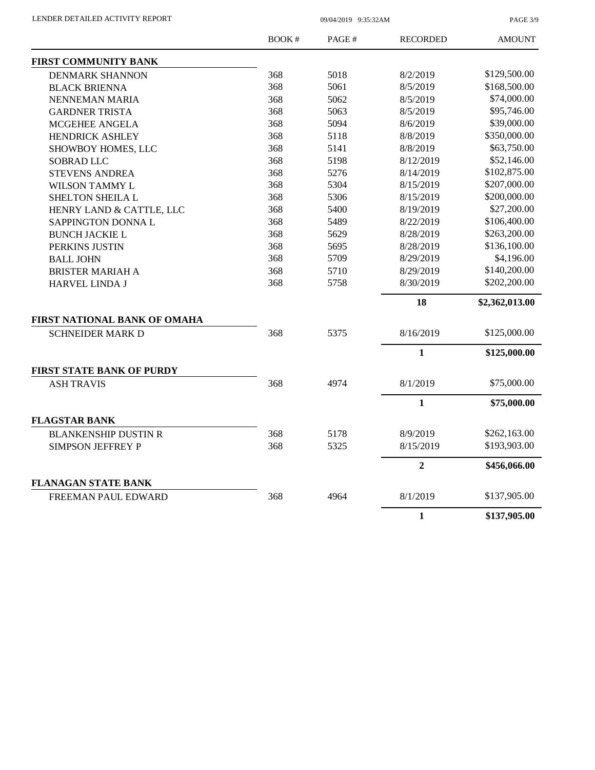PAGE 3/9

|                              | <b>BOOK#</b> | PAGE# | <b>RECORDED</b> | <b>AMOUNT</b>  |
|------------------------------|--------------|-------|-----------------|----------------|
| <b>FIRST COMMUNITY BANK</b>  |              |       |                 |                |
| <b>DENMARK SHANNON</b>       | 368          | 5018  | 8/2/2019        | \$129,500.00   |
| <b>BLACK BRIENNA</b>         | 368          | 5061  | 8/5/2019        | \$168,500.00   |
| NENNEMAN MARIA               | 368          | 5062  | 8/5/2019        | \$74,000.00    |
| <b>GARDNER TRISTA</b>        | 368          | 5063  | 8/5/2019        | \$95,746.00    |
| MCGEHEE ANGELA               | 368          | 5094  | 8/6/2019        | \$39,000.00    |
| <b>HENDRICK ASHLEY</b>       | 368          | 5118  | 8/8/2019        | \$350,000.00   |
| SHOWBOY HOMES, LLC           | 368          | 5141  | 8/8/2019        | \$63,750.00    |
| <b>SOBRAD LLC</b>            | 368          | 5198  | 8/12/2019       | \$52,146.00    |
| <b>STEVENS ANDREA</b>        | 368          | 5276  | 8/14/2019       | \$102,875.00   |
| WILSON TAMMY L               | 368          | 5304  | 8/15/2019       | \$207,000.00   |
| SHELTON SHEILA L             | 368          | 5306  | 8/15/2019       | \$200,000.00   |
| HENRY LAND & CATTLE, LLC     | 368          | 5400  | 8/19/2019       | \$27,200.00    |
| SAPPINGTON DONNA L           | 368          | 5489  | 8/22/2019       | \$106,400.00   |
| <b>BUNCH JACKIE L</b>        | 368          | 5629  | 8/28/2019       | \$263,200.00   |
| PERKINS JUSTIN               | 368          | 5695  | 8/28/2019       | \$136,100.00   |
| <b>BALL JOHN</b>             | 368          | 5709  | 8/29/2019       | \$4,196.00     |
| <b>BRISTER MARIAH A</b>      | 368          | 5710  | 8/29/2019       | \$140,200.00   |
| <b>HARVEL LINDA J</b>        | 368          | 5758  | 8/30/2019       | \$202,200.00   |
|                              |              |       | 18              | \$2,362,013.00 |
| FIRST NATIONAL BANK OF OMAHA |              |       |                 |                |
| <b>SCHNEIDER MARK D</b>      | 368          | 5375  | 8/16/2019       | \$125,000.00   |
|                              |              |       | $\mathbf{1}$    | \$125,000.00   |
| FIRST STATE BANK OF PURDY    |              |       |                 |                |
| <b>ASH TRAVIS</b>            | 368          | 4974  | 8/1/2019        | \$75,000.00    |
|                              |              |       | $\mathbf{1}$    | \$75,000.00    |
| <b>FLAGSTAR BANK</b>         |              |       |                 |                |
| <b>BLANKENSHIP DUSTIN R</b>  | 368          | 5178  | 8/9/2019        | \$262,163.00   |
| <b>SIMPSON JEFFREY P</b>     | 368          | 5325  | 8/15/2019       | \$193,903.00   |
|                              |              |       | $\overline{2}$  | \$456,066.00   |
| <b>FLANAGAN STATE BANK</b>   |              |       |                 |                |
| FREEMAN PAUL EDWARD          | 368          | 4964  | 8/1/2019        | \$137,905.00   |
|                              |              |       | $\mathbf{1}$    | \$137,905.00   |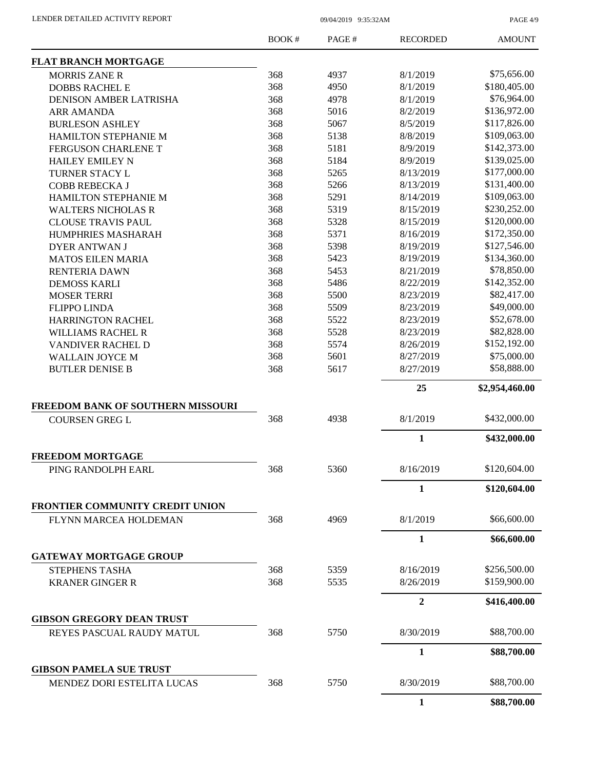PAGE 4/9

|                                                                 | BOOK# | PAGE# | <b>RECORDED</b> | <b>AMOUNT</b>  |
|-----------------------------------------------------------------|-------|-------|-----------------|----------------|
| <b>FLAT BRANCH MORTGAGE</b>                                     |       |       |                 |                |
| <b>MORRIS ZANE R</b>                                            | 368   | 4937  | 8/1/2019        | \$75,656.00    |
| <b>DOBBS RACHEL E</b>                                           | 368   | 4950  | 8/1/2019        | \$180,405.00   |
| DENISON AMBER LATRISHA                                          | 368   | 4978  | 8/1/2019        | \$76,964.00    |
| <b>ARR AMANDA</b>                                               | 368   | 5016  | 8/2/2019        | \$136,972.00   |
| <b>BURLESON ASHLEY</b>                                          | 368   | 5067  | 8/5/2019        | \$117,826.00   |
| HAMILTON STEPHANIE M                                            | 368   | 5138  | 8/8/2019        | \$109,063.00   |
| FERGUSON CHARLENE T                                             | 368   | 5181  | 8/9/2019        | \$142,373.00   |
| <b>HAILEY EMILEY N</b>                                          | 368   | 5184  | 8/9/2019        | \$139,025.00   |
| TURNER STACY L                                                  | 368   | 5265  | 8/13/2019       | \$177,000.00   |
| COBB REBECKA J                                                  | 368   | 5266  | 8/13/2019       | \$131,400.00   |
| HAMILTON STEPHANIE M                                            | 368   | 5291  | 8/14/2019       | \$109,063.00   |
| <b>WALTERS NICHOLAS R</b>                                       | 368   | 5319  | 8/15/2019       | \$230,252.00   |
| <b>CLOUSE TRAVIS PAUL</b>                                       | 368   | 5328  | 8/15/2019       | \$120,000.00   |
| <b>HUMPHRIES MASHARAH</b>                                       | 368   | 5371  | 8/16/2019       | \$172,350.00   |
| <b>DYER ANTWAN J</b>                                            | 368   | 5398  | 8/19/2019       | \$127,546.00   |
| <b>MATOS EILEN MARIA</b>                                        | 368   | 5423  | 8/19/2019       | \$134,360.00   |
|                                                                 | 368   | 5453  | 8/21/2019       | \$78,850.00    |
| RENTERIA DAWN                                                   | 368   |       |                 | \$142,352.00   |
| <b>DEMOSS KARLI</b>                                             |       | 5486  | 8/22/2019       | \$82,417.00    |
| <b>MOSER TERRI</b>                                              | 368   | 5500  | 8/23/2019       |                |
| <b>FLIPPO LINDA</b>                                             | 368   | 5509  | 8/23/2019       | \$49,000.00    |
| <b>HARRINGTON RACHEL</b>                                        | 368   | 5522  | 8/23/2019       | \$52,678.00    |
| <b>WILLIAMS RACHEL R</b>                                        | 368   | 5528  | 8/23/2019       | \$82,828.00    |
| <b>VANDIVER RACHEL D</b>                                        | 368   | 5574  | 8/26/2019       | \$152,192.00   |
| <b>WALLAIN JOYCE M</b>                                          | 368   | 5601  | 8/27/2019       | \$75,000.00    |
| <b>BUTLER DENISE B</b>                                          | 368   | 5617  | 8/27/2019       | \$58,888.00    |
|                                                                 |       |       | 25              | \$2,954,460.00 |
| FREEDOM BANK OF SOUTHERN MISSOURI                               |       |       |                 |                |
| <b>COURSEN GREG L</b>                                           | 368   | 4938  | 8/1/2019        | \$432,000.00   |
|                                                                 |       |       | 1               | \$432,000.00   |
| <b>FREEDOM MORTGAGE</b>                                         |       |       |                 | \$120,604.00   |
| PING RANDOLPH EARL                                              | 368   | 5360  | 8/16/2019       |                |
|                                                                 |       |       | 1               | \$120,604.00   |
| <b>FRONTIER COMMUNITY CREDIT UNION</b><br>FLYNN MARCEA HOLDEMAN | 368   | 4969  | 8/1/2019        | \$66,600.00    |
|                                                                 |       |       |                 |                |
|                                                                 |       |       | $\mathbf{1}$    | \$66,600.00    |
| <b>GATEWAY MORTGAGE GROUP</b>                                   |       |       |                 |                |
| STEPHENS TASHA                                                  | 368   | 5359  | 8/16/2019       | \$256,500.00   |
| <b>KRANER GINGER R</b>                                          | 368   | 5535  | 8/26/2019       | \$159,900.00   |
|                                                                 |       |       | $\overline{2}$  | \$416,400.00   |
| <b>GIBSON GREGORY DEAN TRUST</b>                                |       |       |                 |                |
| REYES PASCUAL RAUDY MATUL                                       | 368   | 5750  | 8/30/2019       | \$88,700.00    |
|                                                                 |       |       | $\mathbf{1}$    | \$88,700.00    |
| <b>GIBSON PAMELA SUE TRUST</b>                                  |       |       |                 |                |
| MENDEZ DORI ESTELITA LUCAS                                      | 368   | 5750  | 8/30/2019       | \$88,700.00    |
|                                                                 |       |       | $\mathbf{1}$    | \$88,700.00    |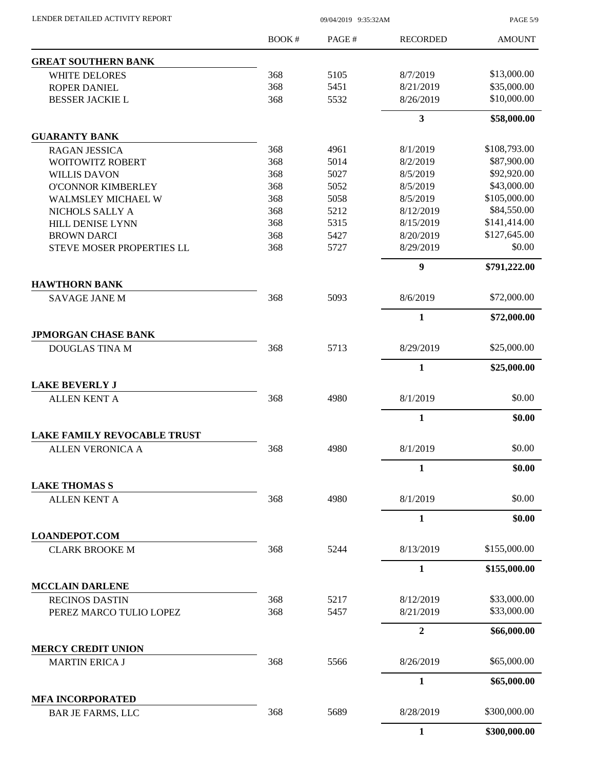| LENDER DETAILED ACTIVITY REPORT |  |
|---------------------------------|--|
|                                 |  |

09/04/2019 9:35:32AM

PAGE 5/9

|                                                               | BOOK# | PAGE# | <b>RECORDED</b>  | <b>AMOUNT</b> |
|---------------------------------------------------------------|-------|-------|------------------|---------------|
| <b>GREAT SOUTHERN BANK</b>                                    |       |       |                  |               |
| <b>WHITE DELORES</b>                                          | 368   | 5105  | 8/7/2019         | \$13,000.00   |
| <b>ROPER DANIEL</b>                                           | 368   | 5451  | 8/21/2019        | \$35,000.00   |
| <b>BESSER JACKIE L</b>                                        | 368   | 5532  | 8/26/2019        | \$10,000.00   |
|                                                               |       |       | $\mathbf{3}$     | \$58,000.00   |
| <b>GUARANTY BANK</b>                                          |       |       |                  |               |
| <b>RAGAN JESSICA</b>                                          | 368   | 4961  | 8/1/2019         | \$108,793.00  |
| <b>WOITOWITZ ROBERT</b>                                       | 368   | 5014  | 8/2/2019         | \$87,900.00   |
| <b>WILLIS DAVON</b>                                           | 368   | 5027  | 8/5/2019         | \$92,920.00   |
| <b>O'CONNOR KIMBERLEY</b>                                     | 368   | 5052  | 8/5/2019         | \$43,000.00   |
| <b>WALMSLEY MICHAEL W</b>                                     | 368   | 5058  | 8/5/2019         | \$105,000.00  |
| NICHOLS SALLY A                                               | 368   | 5212  | 8/12/2019        | \$84,550.00   |
| <b>HILL DENISE LYNN</b>                                       | 368   | 5315  | 8/15/2019        | \$141,414.00  |
| <b>BROWN DARCI</b>                                            | 368   | 5427  | 8/20/2019        | \$127,645.00  |
| <b>STEVE MOSER PROPERTIES LL</b>                              | 368   | 5727  | 8/29/2019        | \$0.00        |
|                                                               |       |       | $\boldsymbol{9}$ | \$791,222.00  |
| <b>HAWTHORN BANK</b>                                          |       |       |                  |               |
| <b>SAVAGE JANE M</b>                                          | 368   | 5093  | 8/6/2019         | \$72,000.00   |
|                                                               |       |       | $\mathbf{1}$     | \$72,000.00   |
| <b>JPMORGAN CHASE BANK</b>                                    |       |       |                  |               |
| <b>DOUGLAS TINA M</b>                                         | 368   | 5713  | 8/29/2019        | \$25,000.00   |
|                                                               |       |       | $\mathbf{1}$     | \$25,000.00   |
| <b>LAKE BEVERLY J</b>                                         | 368   | 4980  | 8/1/2019         | \$0.00        |
| <b>ALLEN KENT A</b>                                           |       |       |                  |               |
|                                                               |       |       | $\mathbf{1}$     | \$0.00        |
| <b>LAKE FAMILY REVOCABLE TRUST</b><br><b>ALLEN VERONICA A</b> | 368   | 4980  | 8/1/2019         | \$0.00        |
|                                                               |       |       |                  |               |
|                                                               |       |       | $\mathbf{1}$     | \$0.00        |
| <b>LAKE THOMAS S</b><br><b>ALLEN KENT A</b>                   | 368   | 4980  | 8/1/2019         | \$0.00        |
|                                                               |       |       | $\mathbf{1}$     | \$0.00        |
|                                                               |       |       |                  |               |
| <b>LOANDEPOT.COM</b><br><b>CLARK BROOKE M</b>                 | 368   | 5244  | 8/13/2019        | \$155,000.00  |
|                                                               |       |       | $\mathbf{1}$     | \$155,000.00  |
| <b>MCCLAIN DARLENE</b>                                        |       |       |                  |               |
| <b>RECINOS DASTIN</b>                                         | 368   | 5217  | 8/12/2019        | \$33,000.00   |
| PEREZ MARCO TULIO LOPEZ                                       | 368   | 5457  | 8/21/2019        | \$33,000.00   |
|                                                               |       |       | $\overline{2}$   |               |
|                                                               |       |       |                  | \$66,000.00   |
| <b>MERCY CREDIT UNION</b><br><b>MARTIN ERICA J</b>            | 368   | 5566  | 8/26/2019        | \$65,000.00   |
|                                                               |       |       | $\mathbf{1}$     | \$65,000.00   |
| <b>MFA INCORPORATED</b>                                       |       |       |                  |               |
| <b>BAR JE FARMS, LLC</b>                                      | 368   | 5689  | 8/28/2019        | \$300,000.00  |
|                                                               |       |       | 1                | \$300,000.00  |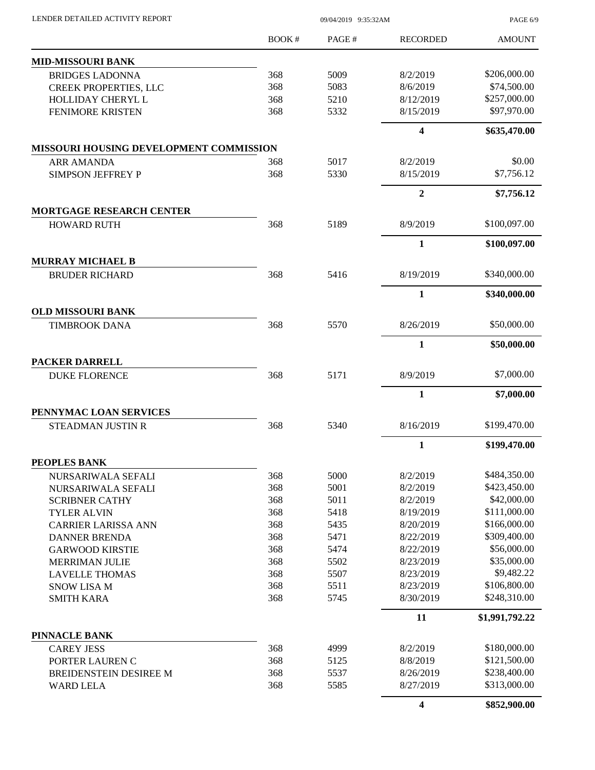| LENDER DETAILED ACTIVITY REPORT |  |
|---------------------------------|--|
|                                 |  |

09/04/2019 9:35:32AM

PAGE 6/9

|                                                  | BOOK#      | PAGE#        | <b>RECORDED</b>         | <b>AMOUNT</b>                |
|--------------------------------------------------|------------|--------------|-------------------------|------------------------------|
| <b>MID-MISSOURI BANK</b>                         |            |              |                         |                              |
| <b>BRIDGES LADONNA</b>                           | 368        | 5009         | 8/2/2019                | \$206,000.00                 |
| <b>CREEK PROPERTIES, LLC</b>                     | 368        | 5083         | 8/6/2019                | \$74,500.00                  |
| HOLLIDAY CHERYL L                                | 368        | 5210         | 8/12/2019               | \$257,000.00                 |
| <b>FENIMORE KRISTEN</b>                          | 368        | 5332         | 8/15/2019               | \$97,970.00                  |
|                                                  |            |              | $\overline{\mathbf{4}}$ | \$635,470.00                 |
| <b>MISSOURI HOUSING DEVELOPMENT COMMISSION</b>   |            |              |                         |                              |
| <b>ARR AMANDA</b>                                | 368        | 5017         | 8/2/2019                | \$0.00                       |
| <b>SIMPSON JEFFREY P</b>                         | 368        | 5330         | 8/15/2019               | \$7,756.12                   |
|                                                  |            |              | $\overline{2}$          | \$7,756.12                   |
| <b>MORTGAGE RESEARCH CENTER</b>                  |            |              |                         |                              |
| <b>HOWARD RUTH</b>                               | 368        | 5189         | 8/9/2019                | \$100,097.00                 |
|                                                  |            |              | $\mathbf{1}$            | \$100,097.00                 |
| <b>MURRAY MICHAEL B</b><br><b>BRUDER RICHARD</b> | 368        | 5416         | 8/19/2019               | \$340,000.00                 |
|                                                  |            |              | $\mathbf{1}$            |                              |
| <b>OLD MISSOURI BANK</b>                         |            |              |                         | \$340,000.00                 |
| <b>TIMBROOK DANA</b>                             | 368        | 5570         | 8/26/2019               | \$50,000.00                  |
|                                                  |            |              | $\mathbf{1}$            | \$50,000.00                  |
| <b>PACKER DARRELL</b>                            |            |              |                         |                              |
| <b>DUKE FLORENCE</b>                             | 368        | 5171         | 8/9/2019                | \$7,000.00                   |
|                                                  |            |              | $\mathbf{1}$            | \$7,000.00                   |
| PENNYMAC LOAN SERVICES                           |            |              |                         |                              |
| <b>STEADMAN JUSTIN R</b>                         | 368        | 5340         | 8/16/2019               | \$199,470.00                 |
|                                                  |            |              | 1                       | \$199,470.00                 |
| PEOPLES BANK                                     |            |              |                         |                              |
| NURSARIWALA SEFALI                               | 368<br>368 | 5000<br>5001 | 8/2/2019                | \$484,350.00<br>\$423,450.00 |
| NURSARIWALA SEFALI<br><b>SCRIBNER CATHY</b>      | 368        | 5011         | 8/2/2019<br>8/2/2019    | \$42,000.00                  |
| <b>TYLER ALVIN</b>                               | 368        | 5418         | 8/19/2019               | \$111,000.00                 |
| <b>CARRIER LARISSA ANN</b>                       | 368        | 5435         | 8/20/2019               | \$166,000.00                 |
| <b>DANNER BRENDA</b>                             | 368        | 5471         | 8/22/2019               | \$309,400.00                 |
| <b>GARWOOD KIRSTIE</b>                           | 368        | 5474         | 8/22/2019               | \$56,000.00                  |
| <b>MERRIMAN JULIE</b>                            | 368        | 5502         | 8/23/2019               | \$35,000.00                  |
| <b>LAVELLE THOMAS</b>                            | 368        | 5507         | 8/23/2019               | \$9,482.22                   |
| <b>SNOW LISA M</b>                               | 368        | 5511         | 8/23/2019               | \$106,800.00                 |
| <b>SMITH KARA</b>                                | 368        | 5745         | 8/30/2019               | \$248,310.00                 |
|                                                  |            |              | 11                      | \$1,991,792.22               |
| PINNACLE BANK                                    |            |              |                         |                              |
| <b>CAREY JESS</b>                                | 368        | 4999         | 8/2/2019                | \$180,000.00                 |
| PORTER LAUREN C                                  | 368        | 5125         | 8/8/2019                | \$121,500.00                 |
| BREIDENSTEIN DESIREE M                           | 368        | 5537         | 8/26/2019               | \$238,400.00                 |
| <b>WARD LELA</b>                                 | 368        | 5585         | 8/27/2019               | \$313,000.00                 |
|                                                  |            |              | $\overline{\mathbf{4}}$ | \$852,900.00                 |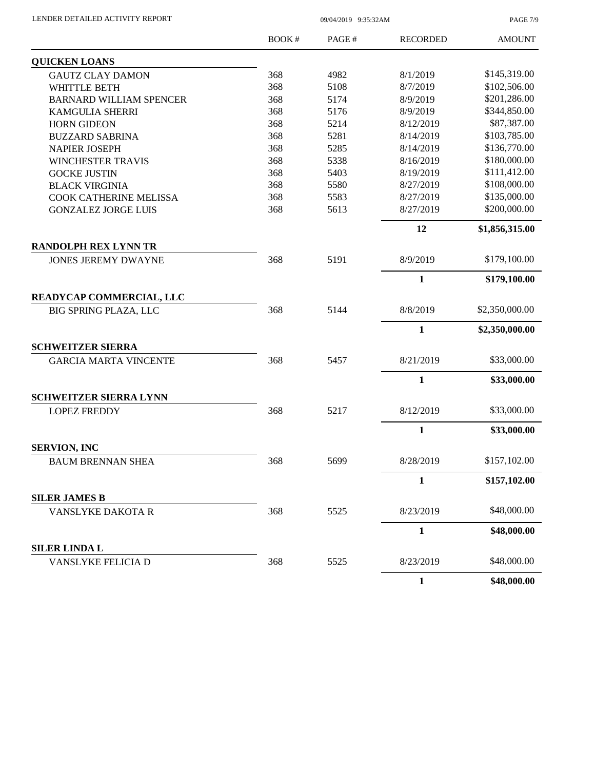| LENDER DETAILED ACTIVITY REPORT |  |
|---------------------------------|--|
|                                 |  |

09/04/2019 9:35:32AM

PAGE 7/9

|                                | BOOK# | PAGE# | <b>RECORDED</b> | <b>AMOUNT</b>  |
|--------------------------------|-------|-------|-----------------|----------------|
| <b>QUICKEN LOANS</b>           |       |       |                 |                |
| <b>GAUTZ CLAY DAMON</b>        | 368   | 4982  | 8/1/2019        | \$145,319.00   |
| <b>WHITTLE BETH</b>            | 368   | 5108  | 8/7/2019        | \$102,506.00   |
| <b>BARNARD WILLIAM SPENCER</b> | 368   | 5174  | 8/9/2019        | \$201,286.00   |
| <b>KAMGULIA SHERRI</b>         | 368   | 5176  | 8/9/2019        | \$344,850.00   |
| <b>HORN GIDEON</b>             | 368   | 5214  | 8/12/2019       | \$87,387.00    |
| <b>BUZZARD SABRINA</b>         | 368   | 5281  | 8/14/2019       | \$103,785.00   |
| <b>NAPIER JOSEPH</b>           | 368   | 5285  | 8/14/2019       | \$136,770.00   |
| <b>WINCHESTER TRAVIS</b>       | 368   | 5338  | 8/16/2019       | \$180,000.00   |
| <b>GOCKE JUSTIN</b>            | 368   | 5403  | 8/19/2019       | \$111,412.00   |
| <b>BLACK VIRGINIA</b>          | 368   | 5580  | 8/27/2019       | \$108,000.00   |
| COOK CATHERINE MELISSA         | 368   | 5583  | 8/27/2019       | \$135,000.00   |
| <b>GONZALEZ JORGE LUIS</b>     | 368   | 5613  | 8/27/2019       | \$200,000.00   |
|                                |       |       | 12              | \$1,856,315.00 |
| <b>RANDOLPH REX LYNN TR</b>    |       |       |                 |                |
| <b>JONES JEREMY DWAYNE</b>     | 368   | 5191  | 8/9/2019        | \$179,100.00   |
|                                |       |       | $\mathbf{1}$    | \$179,100.00   |
| READYCAP COMMERCIAL, LLC       |       |       |                 |                |
| <b>BIG SPRING PLAZA, LLC</b>   | 368   | 5144  | 8/8/2019        | \$2,350,000.00 |
|                                |       |       | $\mathbf{1}$    | \$2,350,000.00 |
| <b>SCHWEITZER SIERRA</b>       |       |       |                 |                |
| <b>GARCIA MARTA VINCENTE</b>   | 368   | 5457  | 8/21/2019       | \$33,000.00    |
|                                |       |       | $\mathbf{1}$    | \$33,000.00    |
| <b>SCHWEITZER SIERRA LYNN</b>  |       |       |                 |                |
| <b>LOPEZ FREDDY</b>            | 368   | 5217  | 8/12/2019       | \$33,000.00    |
|                                |       |       | $\mathbf{1}$    | \$33,000.00    |
| <b>SERVION, INC</b>            |       |       |                 |                |
| <b>BAUM BRENNAN SHEA</b>       | 368   | 5699  | 8/28/2019       | \$157,102.00   |
|                                |       |       | 1               | \$157,102.00   |
| <b>SILER JAMES B</b>           |       |       |                 |                |
| VANSLYKE DAKOTA R              | 368   | 5525  | 8/23/2019       | \$48,000.00    |
|                                |       |       | $\mathbf{1}$    | \$48,000.00    |
| <b>SILER LINDA L</b>           |       |       |                 |                |
| <b>VANSLYKE FELICIA D</b>      | 368   | 5525  | 8/23/2019       | \$48,000.00    |
|                                |       |       | $\mathbf{1}$    | \$48,000.00    |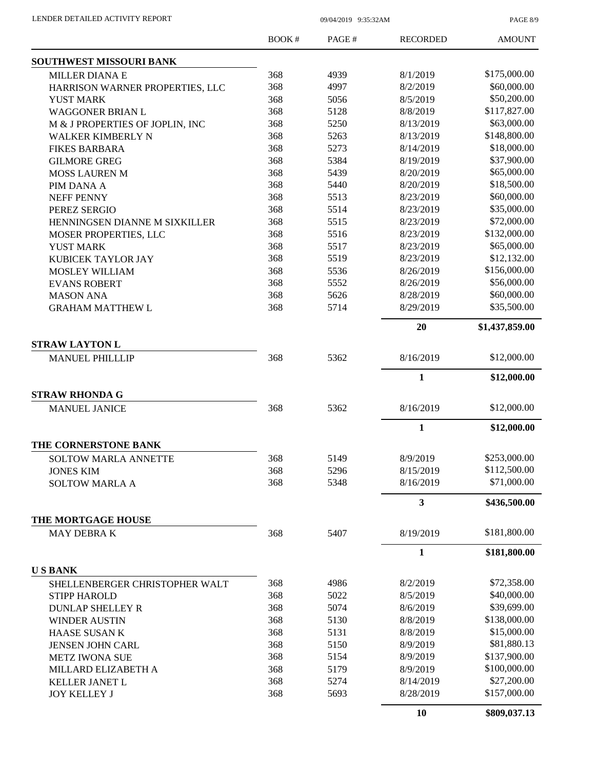PAGE 8/9

|                                 | <b>BOOK#</b> | PAGE# | <b>RECORDED</b> | <b>AMOUNT</b>  |
|---------------------------------|--------------|-------|-----------------|----------------|
| SOUTHWEST MISSOURI BANK         |              |       |                 |                |
| <b>MILLER DIANA E</b>           | 368          | 4939  | 8/1/2019        | \$175,000.00   |
| HARRISON WARNER PROPERTIES, LLC | 368          | 4997  | 8/2/2019        | \$60,000.00    |
| <b>YUST MARK</b>                | 368          | 5056  | 8/5/2019        | \$50,200.00    |
| <b>WAGGONER BRIAN L</b>         | 368          | 5128  | 8/8/2019        | \$117,827.00   |
| M & J PROPERTIES OF JOPLIN, INC | 368          | 5250  | 8/13/2019       | \$63,000.00    |
| WALKER KIMBERLY N               | 368          | 5263  | 8/13/2019       | \$148,800.00   |
| <b>FIKES BARBARA</b>            | 368          | 5273  | 8/14/2019       | \$18,000.00    |
| <b>GILMORE GREG</b>             | 368          | 5384  | 8/19/2019       | \$37,900.00    |
| <b>MOSS LAUREN M</b>            | 368          | 5439  | 8/20/2019       | \$65,000.00    |
| PIM DANA A                      | 368          | 5440  | 8/20/2019       | \$18,500.00    |
| <b>NEFF PENNY</b>               | 368          | 5513  | 8/23/2019       | \$60,000.00    |
| PEREZ SERGIO                    | 368          | 5514  | 8/23/2019       | \$35,000.00    |
| HENNINGSEN DIANNE M SIXKILLER   | 368          | 5515  | 8/23/2019       | \$72,000.00    |
| <b>MOSER PROPERTIES, LLC</b>    | 368          | 5516  | 8/23/2019       | \$132,000.00   |
| <b>YUST MARK</b>                | 368          | 5517  | 8/23/2019       | \$65,000.00    |
| KUBICEK TAYLOR JAY              | 368          | 5519  | 8/23/2019       | \$12,132.00    |
| <b>MOSLEY WILLIAM</b>           | 368          | 5536  | 8/26/2019       | \$156,000.00   |
| <b>EVANS ROBERT</b>             | 368          | 5552  | 8/26/2019       | \$56,000.00    |
| <b>MASON ANA</b>                | 368          | 5626  | 8/28/2019       | \$60,000.00    |
| <b>GRAHAM MATTHEW L</b>         | 368          | 5714  | 8/29/2019       | \$35,500.00    |
|                                 |              |       | 20              | \$1,437,859.00 |
| <b>STRAW LAYTON L</b>           |              |       |                 |                |
| <b>MANUEL PHILLLIP</b>          | 368          | 5362  | 8/16/2019       | \$12,000.00    |
|                                 |              |       | $\mathbf{1}$    | \$12,000.00    |
| <b>STRAW RHONDA G</b>           |              |       |                 |                |
|                                 | 368          | 5362  | 8/16/2019       | \$12,000.00    |
| <b>MANUEL JANICE</b>            |              |       |                 |                |
|                                 |              |       | $\mathbf{1}$    | \$12,000.00    |
| THE CORNERSTONE BANK            |              |       |                 |                |
| <b>SOLTOW MARLA ANNETTE</b>     | 368          | 5149  | 8/9/2019        | \$253,000.00   |
| <b>JONES KIM</b>                | 368          | 5296  | 8/15/2019       | \$112,500.00   |
| <b>SOLTOW MARLA A</b>           | 368          | 5348  | 8/16/2019       | \$71,000.00    |
|                                 |              |       | $\mathbf{3}$    | \$436,500.00   |
| THE MORTGAGE HOUSE              |              |       |                 |                |
| MAY DEBRAK                      | 368          | 5407  | 8/19/2019       | \$181,800.00   |
|                                 |              |       | $\mathbf{1}$    | \$181,800.00   |
| <b>USBANK</b>                   |              |       |                 |                |
| SHELLENBERGER CHRISTOPHER WALT  | 368          | 4986  | 8/2/2019        | \$72,358.00    |
| <b>STIPP HAROLD</b>             | 368          | 5022  | 8/5/2019        | \$40,000.00    |
| <b>DUNLAP SHELLEY R</b>         | 368          | 5074  | 8/6/2019        | \$39,699.00    |
| <b>WINDER AUSTIN</b>            | 368          | 5130  | 8/8/2019        | \$138,000.00   |
| <b>HAASE SUSANK</b>             | 368          | 5131  | 8/8/2019        | \$15,000.00    |
| JENSEN JOHN CARL                | 368          | 5150  | 8/9/2019        | \$81,880.13    |
| <b>METZ IWONA SUE</b>           | 368          | 5154  | 8/9/2019        | \$137,900.00   |
| MILLARD ELIZABETH A             | 368          | 5179  | 8/9/2019        | \$100,000.00   |
| KELLER JANET L                  | 368          | 5274  | 8/14/2019       | \$27,200.00    |
| <b>JOY KELLEY J</b>             | 368          | 5693  | 8/28/2019       | \$157,000.00   |
|                                 |              |       | 10              | \$809,037.13   |